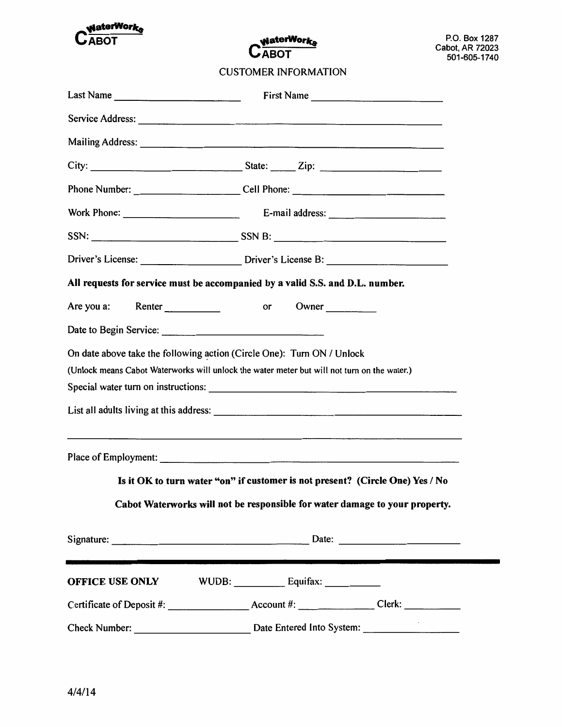

**WaterWorks CABOT** 

**CUSTOMER INFORMATION** 

| Last Name $\frac{1}{\sqrt{1-\frac{1}{2}}\sqrt{1-\frac{1}{2}}\sqrt{1-\frac{1}{2}}\sqrt{1-\frac{1}{2}}\sqrt{1-\frac{1}{2}}\sqrt{1-\frac{1}{2}}\sqrt{1-\frac{1}{2}}\sqrt{1-\frac{1}{2}}\sqrt{1-\frac{1}{2}}\sqrt{1-\frac{1}{2}}\sqrt{1-\frac{1}{2}}\sqrt{1-\frac{1}{2}}\sqrt{1-\frac{1}{2}}\sqrt{1-\frac{1}{2}}\sqrt{1-\frac{1}{2}}\sqrt{1-\frac{1}{2}}\sqrt{1-\frac{1}{2}}\sqrt{1-\frac{1}{2}}\sqrt{1-\frac{$ | First Name                                                                        |
|-------------------------------------------------------------------------------------------------------------------------------------------------------------------------------------------------------------------------------------------------------------------------------------------------------------------------------------------------------------------------------------------------------------|-----------------------------------------------------------------------------------|
|                                                                                                                                                                                                                                                                                                                                                                                                             |                                                                                   |
|                                                                                                                                                                                                                                                                                                                                                                                                             |                                                                                   |
|                                                                                                                                                                                                                                                                                                                                                                                                             |                                                                                   |
|                                                                                                                                                                                                                                                                                                                                                                                                             | Phone Number: ______________________________Cell Phone: _________________________ |
|                                                                                                                                                                                                                                                                                                                                                                                                             |                                                                                   |
|                                                                                                                                                                                                                                                                                                                                                                                                             |                                                                                   |
|                                                                                                                                                                                                                                                                                                                                                                                                             |                                                                                   |
| All requests for service must be accompanied by a valid S.S. and D.L. number.                                                                                                                                                                                                                                                                                                                               |                                                                                   |
|                                                                                                                                                                                                                                                                                                                                                                                                             |                                                                                   |
|                                                                                                                                                                                                                                                                                                                                                                                                             |                                                                                   |
| On date above take the following action (Circle One): Turn ON / Unlock<br>(Unlock means Cabot Waterworks will unlock the water meter but will not turn on the water.)                                                                                                                                                                                                                                       |                                                                                   |
|                                                                                                                                                                                                                                                                                                                                                                                                             |                                                                                   |
| the contract of the contract of the contract of the contract of the contract of the contract of the contract of                                                                                                                                                                                                                                                                                             |                                                                                   |
| Is it OK to turn water "on" if customer is not present? (Circle One) Yes / No                                                                                                                                                                                                                                                                                                                               |                                                                                   |
|                                                                                                                                                                                                                                                                                                                                                                                                             | Cabot Waterworks will not be responsible for water damage to your property.       |
|                                                                                                                                                                                                                                                                                                                                                                                                             |                                                                                   |
|                                                                                                                                                                                                                                                                                                                                                                                                             |                                                                                   |
|                                                                                                                                                                                                                                                                                                                                                                                                             |                                                                                   |
|                                                                                                                                                                                                                                                                                                                                                                                                             |                                                                                   |
|                                                                                                                                                                                                                                                                                                                                                                                                             |                                                                                   |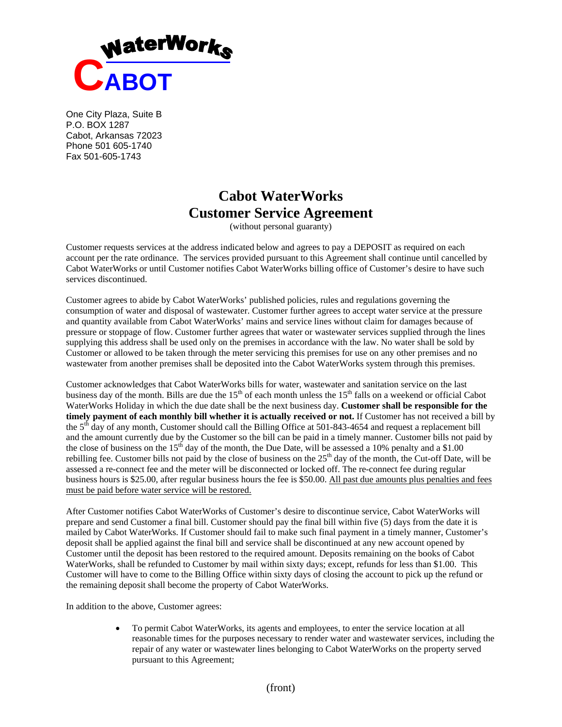

One City Plaza, Suite B P.O. BOX 1287 Cabot, Arkansas 72023 Phone 501 605-1740 Fax 501-605-1743

## **Cabot WaterWorks Customer Service Agreement**

(without personal guaranty)

Customer requests services at the address indicated below and agrees to pay a DEPOSIT as required on each account per the rate ordinance. The services provided pursuant to this Agreement shall continue until cancelled by Cabot WaterWorks or until Customer notifies Cabot WaterWorks billing office of Customer's desire to have such services discontinued.

Customer agrees to abide by Cabot WaterWorks' published policies, rules and regulations governing the consumption of water and disposal of wastewater. Customer further agrees to accept water service at the pressure and quantity available from Cabot WaterWorks' mains and service lines without claim for damages because of pressure or stoppage of flow. Customer further agrees that water or wastewater services supplied through the lines supplying this address shall be used only on the premises in accordance with the law. No water shall be sold by Customer or allowed to be taken through the meter servicing this premises for use on any other premises and no wastewater from another premises shall be deposited into the Cabot WaterWorks system through this premises.

Customer acknowledges that Cabot WaterWorks bills for water, wastewater and sanitation service on the last business day of the month. Bills are due the  $15<sup>th</sup>$  of each month unless the  $15<sup>th</sup>$  falls on a weekend or official Cabot WaterWorks Holiday in which the due date shall be the next business day. **Customer shall be responsible for the timely payment of each monthly bill whether it is actually received or not.** If Customer has not received a bill by the 5<sup>th</sup> day of any month, Customer should call the Billing Office at 501-843-4654 and request a replacement bill and the amount currently due by the Customer so the bill can be paid in a timely manner. Customer bills not paid by the close of business on the  $15<sup>th</sup>$  day of the month, the Due Date, will be assessed a 10% penalty and a \$1.00 rebilling fee. Customer bills not paid by the close of business on the  $25<sup>th</sup>$  day of the month, the Cut-off Date, will be assessed a re-connect fee and the meter will be disconnected or locked off. The re-connect fee during regular business hours is \$25.00, after regular business hours the fee is \$50.00. All past due amounts plus penalties and fees must be paid before water service will be restored.

After Customer notifies Cabot WaterWorks of Customer's desire to discontinue service, Cabot WaterWorks will prepare and send Customer a final bill. Customer should pay the final bill within five (5) days from the date it is mailed by Cabot WaterWorks. If Customer should fail to make such final payment in a timely manner, Customer's deposit shall be applied against the final bill and service shall be discontinued at any new account opened by Customer until the deposit has been restored to the required amount. Deposits remaining on the books of Cabot WaterWorks, shall be refunded to Customer by mail within sixty days; except, refunds for less than \$1.00. This Customer will have to come to the Billing Office within sixty days of closing the account to pick up the refund or the remaining deposit shall become the property of Cabot WaterWorks.

In addition to the above, Customer agrees:

 To permit Cabot WaterWorks, its agents and employees, to enter the service location at all reasonable times for the purposes necessary to render water and wastewater services, including the repair of any water or wastewater lines belonging to Cabot WaterWorks on the property served pursuant to this Agreement;